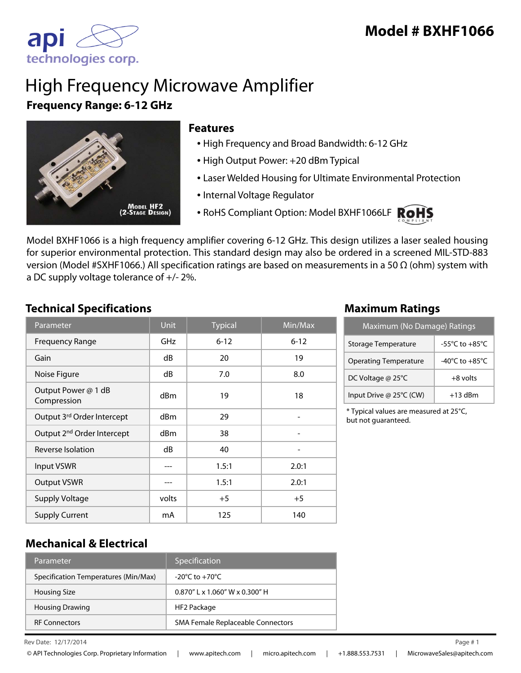

# High Frequency Microwave Amplifier **Frequency Range: 6-12 GHz**



#### **Features**

- High Frequency and Broad Bandwidth: 6-12 GHz
- High Output Power: +20 dBm Typical
- Laser Welded Housing for Ultimate Environmental Protection
- Internal Voltage Regulator
- RoHS Compliant Option: Model BXHF1066LF RoHS



Model BXHF1066 is a high frequency amplifier covering 6-12 GHz. This design utilizes a laser sealed housing for superior environmental protection. This standard design may also be ordered in a screened MIL-STD-883 version (Model #SXHF1066.) All specification ratings are based on measurements in a 50 Ω (ohm) system with a DC supply voltage tolerance of +/- 2%.

### **Technical Specifications Maximum Ratings**

| Parameter                              | <b>Unit</b>     | <b>Typical</b> | Min/Max  |
|----------------------------------------|-----------------|----------------|----------|
| <b>Frequency Range</b>                 | <b>GHz</b>      | $6 - 12$       | $6 - 12$ |
| Gain                                   | dB              | 20             | 19       |
| Noise Figure                           | dB              | 7.0            | 8.0      |
| Output Power @ 1 dB<br>Compression     | dBm             | 19             | 18       |
| Output 3rd Order Intercept             | d <sub>Bm</sub> | 29             |          |
| Output 2 <sup>nd</sup> Order Intercept | dBm             | 38             |          |
| Reverse Isolation                      | dB              | 40             |          |
| <b>Input VSWR</b>                      |                 | 1.5:1          | 2.0:1    |
| <b>Output VSWR</b>                     |                 | 1.5:1          | 2.0:1    |
| <b>Supply Voltage</b>                  | volts           | $+5$           | $+5$     |
| <b>Supply Current</b>                  | mA              | 125            | 140      |

| Maximum (No Damage) Ratings  |                                      |  |
|------------------------------|--------------------------------------|--|
| Storage Temperature          | -55 $^{\circ}$ C to +85 $^{\circ}$ C |  |
| <b>Operating Temperature</b> | $-40^{\circ}$ C to $+85^{\circ}$ C   |  |
| DC Voltage @ 25°C            | $+8$ volts                           |  |
| Input Drive @ 25°C (CW)      | $+13$ dBm                            |  |

\* Typical values are measured at 25°C, but not guaranteed.

## **Mechanical & Electrical**

| Parameter                            | Specification                      |
|--------------------------------------|------------------------------------|
| Specification Temperatures (Min/Max) | $-20^{\circ}$ C to $+70^{\circ}$ C |
| <b>Housing Size</b>                  | $0.870''$   x 1.060" W x 0.300" H  |
| <b>Housing Drawing</b>               | HF2 Package                        |
| <b>RF Connectors</b>                 | SMA Female Replaceable Connectors  |

Rev Date: 12/17/2014 Page # 1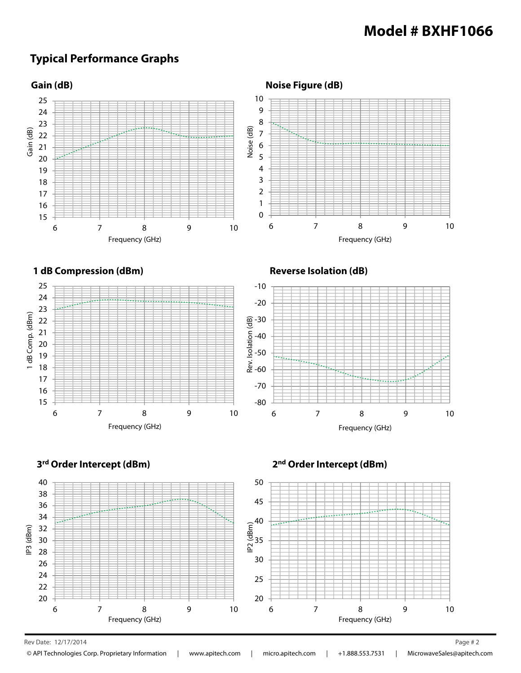## **Typical Performance Graphs**



Rev Date: 12/17/2014 Page # 2

© API Technologies Corp. Proprietary Information | www.apitech.com | micro.apitech.com | +1.888.553.7531 | MicrowaveSales@apitech.com